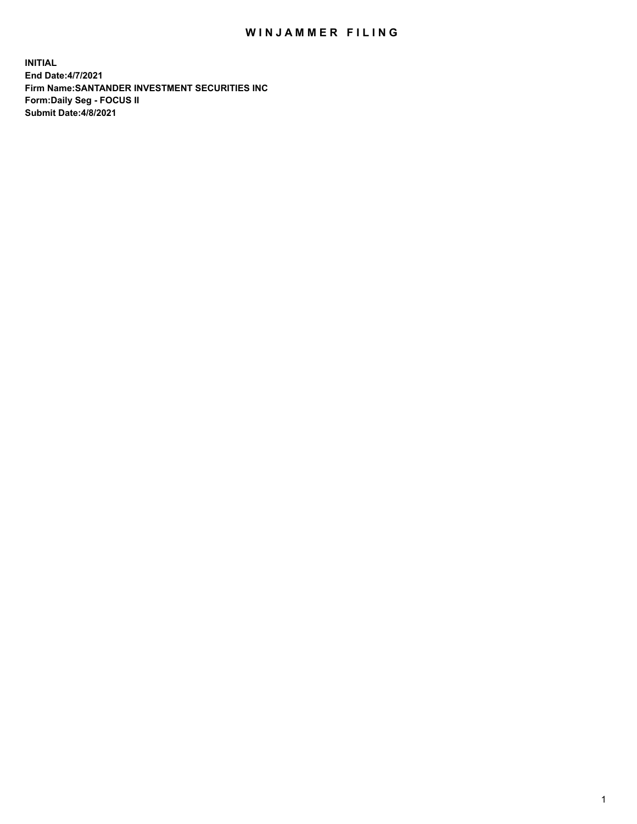## WIN JAMMER FILING

**INITIAL End Date:4/7/2021 Firm Name:SANTANDER INVESTMENT SECURITIES INC Form:Daily Seg - FOCUS II Submit Date:4/8/2021**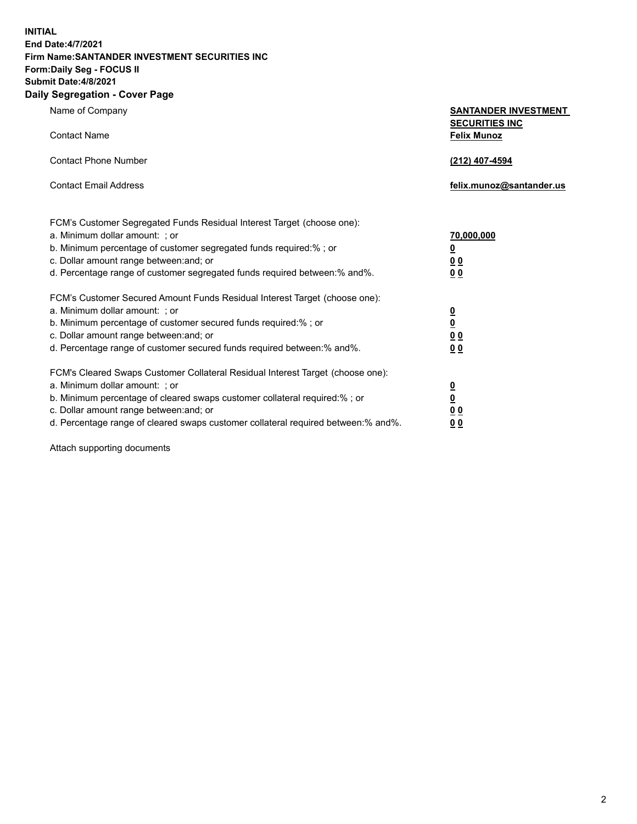**INITIAL End Date:4/7/2021 Firm Name:SANTANDER INVESTMENT SECURITIES INC Form:Daily Seg - FOCUS II Submit Date:4/8/2021 Daily Segregation - Cover Page**

Name of Company **SANTANDER INVESTMENT SECURITIES INC** Contact Name **Felix Munoz** Contact Phone Number **(212) 407-4594** Contact Email Address **felix.munoz@santander.us** FCM's Customer Segregated Funds Residual Interest Target (choose one): a. Minimum dollar amount: ; or **70,000,000** b. Minimum percentage of customer segregated funds required:% ; or **0** c. Dollar amount range between:and; or **0 0** d. Percentage range of customer segregated funds required between:% and%. **0 0** FCM's Customer Secured Amount Funds Residual Interest Target (choose one): a. Minimum dollar amount: ; or **0** b. Minimum percentage of customer secured funds required:% ; or **0** c. Dollar amount range between:and; or **0 0** d. Percentage range of customer secured funds required between:% and%. **0 0** FCM's Cleared Swaps Customer Collateral Residual Interest Target (choose one): a. Minimum dollar amount: ; or **0** b. Minimum percentage of cleared swaps customer collateral required:% ; or **0**

c. Dollar amount range between:and; or **0 0** d. Percentage range of cleared swaps customer collateral required between:% and%. **0 0**

Attach supporting documents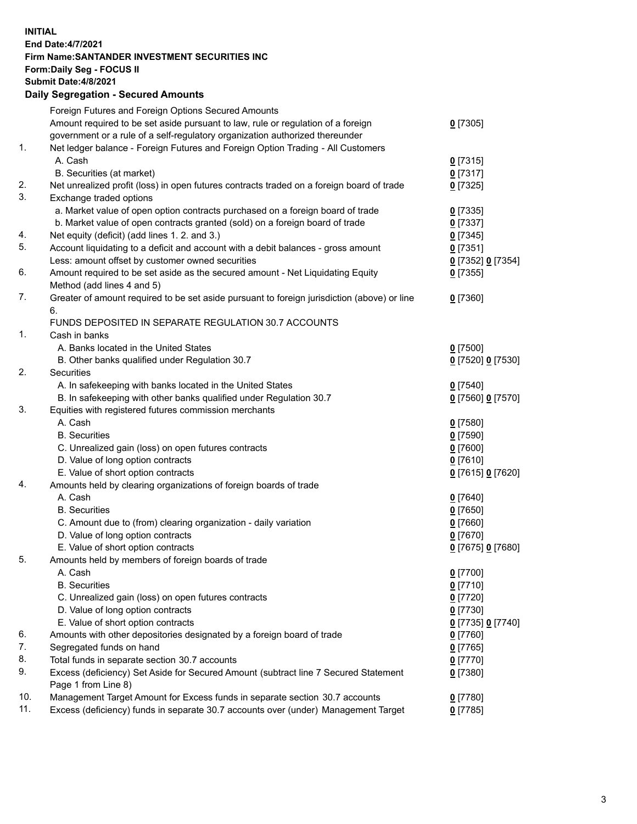## **INITIAL End Date:4/7/2021 Firm Name:SANTANDER INVESTMENT SECURITIES INC Form:Daily Seg - FOCUS II Submit Date:4/8/2021 Daily Segregation - Secured Amounts** Foreign Futures and Foreign Options Secured Amounts

|     | Amount required to be set aside pursuant to law, rule or regulation of a foreign<br>government or a rule of a self-regulatory organization authorized thereunder | $0$ [7305]               |
|-----|------------------------------------------------------------------------------------------------------------------------------------------------------------------|--------------------------|
| 1.  | Net ledger balance - Foreign Futures and Foreign Option Trading - All Customers                                                                                  |                          |
|     | A. Cash                                                                                                                                                          | $0$ [7315]               |
| 2.  | B. Securities (at market)                                                                                                                                        | $0$ [7317]               |
| 3.  | Net unrealized profit (loss) in open futures contracts traded on a foreign board of trade<br>Exchange traded options                                             | $0$ [7325]               |
|     | a. Market value of open option contracts purchased on a foreign board of trade                                                                                   |                          |
|     | b. Market value of open contracts granted (sold) on a foreign board of trade                                                                                     | $0$ [7335]<br>$0$ [7337] |
| 4.  | Net equity (deficit) (add lines 1. 2. and 3.)                                                                                                                    | $0$ [7345]               |
| 5.  | Account liquidating to a deficit and account with a debit balances - gross amount                                                                                | $0$ [7351]               |
|     | Less: amount offset by customer owned securities                                                                                                                 | 0 [7352] 0 [7354]        |
| 6.  | Amount required to be set aside as the secured amount - Net Liquidating Equity                                                                                   | $0$ [7355]               |
|     | Method (add lines 4 and 5)                                                                                                                                       |                          |
| 7.  | Greater of amount required to be set aside pursuant to foreign jurisdiction (above) or line<br>6.                                                                | $0$ [7360]               |
|     | FUNDS DEPOSITED IN SEPARATE REGULATION 30.7 ACCOUNTS                                                                                                             |                          |
| 1.  | Cash in banks                                                                                                                                                    |                          |
|     | A. Banks located in the United States                                                                                                                            | $0$ [7500]               |
|     | B. Other banks qualified under Regulation 30.7                                                                                                                   | 0 [7520] 0 [7530]        |
| 2.  | Securities                                                                                                                                                       |                          |
|     | A. In safekeeping with banks located in the United States                                                                                                        | $0$ [7540]               |
|     | B. In safekeeping with other banks qualified under Regulation 30.7                                                                                               | 0 [7560] 0 [7570]        |
| 3.  | Equities with registered futures commission merchants                                                                                                            |                          |
|     | A. Cash                                                                                                                                                          | $0$ [7580]               |
|     | <b>B.</b> Securities                                                                                                                                             | $0$ [7590]               |
|     | C. Unrealized gain (loss) on open futures contracts                                                                                                              | $0$ [7600]               |
|     | D. Value of long option contracts                                                                                                                                | $0$ [7610]               |
|     | E. Value of short option contracts                                                                                                                               | 0 [7615] 0 [7620]        |
| 4.  | Amounts held by clearing organizations of foreign boards of trade                                                                                                |                          |
|     | A. Cash                                                                                                                                                          | $0$ [7640]               |
|     | <b>B.</b> Securities                                                                                                                                             | $0$ [7650]               |
|     | C. Amount due to (from) clearing organization - daily variation                                                                                                  | $0$ [7660]               |
|     | D. Value of long option contracts                                                                                                                                | $0$ [7670]               |
|     | E. Value of short option contracts                                                                                                                               | 0 [7675] 0 [7680]        |
| 5.  | Amounts held by members of foreign boards of trade                                                                                                               |                          |
|     | A. Cash                                                                                                                                                          | $0$ [7700]               |
|     | <b>B.</b> Securities                                                                                                                                             | $0$ [7710]               |
|     | C. Unrealized gain (loss) on open futures contracts                                                                                                              | $0$ [7720]               |
|     | D. Value of long option contracts                                                                                                                                | $0$ [7730]               |
|     | E. Value of short option contracts                                                                                                                               | 0 [7735] 0 [7740]        |
| 6.  | Amounts with other depositories designated by a foreign board of trade                                                                                           | $0$ [7760]               |
| 7.  | Segregated funds on hand                                                                                                                                         | $0$ [7765]               |
| 8.  | Total funds in separate section 30.7 accounts                                                                                                                    | 0 [7770]                 |
| 9.  | Excess (deficiency) Set Aside for Secured Amount (subtract line 7 Secured Statement<br>Page 1 from Line 8)                                                       | $0$ [7380]               |
| 10. | Management Target Amount for Excess funds in separate section 30.7 accounts                                                                                      | $0$ [7780]               |
| 11. | Excess (deficiency) funds in separate 30.7 accounts over (under) Management Target                                                                               | $0$ [7785]               |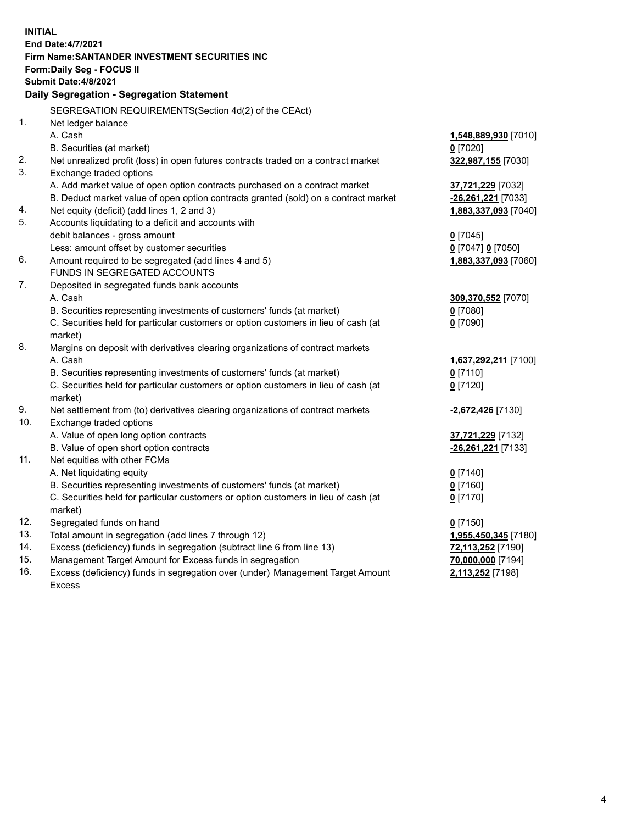| Firm Name: SANTANDER INVESTMENT SECURITIES INC<br>Form: Daily Seg - FOCUS II<br>Submit Date: 4/8/2021<br>Daily Segregation - Segregation Statement<br>SEGREGATION REQUIREMENTS(Section 4d(2) of the CEAct)<br>1.<br>Net ledger balance<br>A. Cash<br>1,548,889,930 [7010]<br>B. Securities (at market)<br>$0$ [7020]<br>2.<br>Net unrealized profit (loss) in open futures contracts traded on a contract market<br>322,987,155 [7030]<br>3.<br>Exchange traded options<br>A. Add market value of open option contracts purchased on a contract market<br>37,721,229 [7032]<br>B. Deduct market value of open option contracts granted (sold) on a contract market<br>-26,261,221 [7033]<br>Net equity (deficit) (add lines 1, 2 and 3)<br>4.<br>1,883,337,093 [7040]<br>5.<br>Accounts liquidating to a deficit and accounts with<br>debit balances - gross amount<br>$0$ [7045]<br>Less: amount offset by customer securities<br>0 [7047] 0 [7050]<br>6.<br>Amount required to be segregated (add lines 4 and 5)<br>1,883,337,093 [7060]<br>FUNDS IN SEGREGATED ACCOUNTS<br>7.<br>Deposited in segregated funds bank accounts<br>A. Cash<br>309,370,552 [7070]<br>B. Securities representing investments of customers' funds (at market)<br>$0$ [7080]<br>C. Securities held for particular customers or option customers in lieu of cash (at<br>$0$ [7090]<br>market)<br>8.<br>Margins on deposit with derivatives clearing organizations of contract markets<br>A. Cash<br>1,637,292,211 [7100]<br>B. Securities representing investments of customers' funds (at market)<br>$0$ [7110]<br>C. Securities held for particular customers or option customers in lieu of cash (at<br>$0$ [7120]<br>market)<br>9.<br>Net settlement from (to) derivatives clearing organizations of contract markets<br>-2,672,426 [7130]<br>10.<br>Exchange traded options<br>A. Value of open long option contracts<br>37,721,229 [7132]<br>B. Value of open short option contracts<br>-26,261,221 [7133]<br>11.<br>Net equities with other FCMs<br>A. Net liquidating equity<br>$0$ [7140]<br>$0$ [7160]<br>B. Securities representing investments of customers' funds (at market)<br>C. Securities held for particular customers or option customers in lieu of cash (at<br>$0$ [7170]<br>market)<br>12.<br>Segregated funds on hand<br>$0$ [7150]<br>13.<br>Total amount in segregation (add lines 7 through 12)<br>1,955,450,345 [7180]<br>14.<br>Excess (deficiency) funds in segregation (subtract line 6 from line 13)<br>72,113,252 [7190]<br>15.<br>Management Target Amount for Excess funds in segregation<br>70,000,000 [7194]<br>16.<br>Excess (deficiency) funds in segregation over (under) Management Target Amount<br>2,113,252 [7198] | <b>INITIAL</b> |                          |  |  |  |  |
|-------------------------------------------------------------------------------------------------------------------------------------------------------------------------------------------------------------------------------------------------------------------------------------------------------------------------------------------------------------------------------------------------------------------------------------------------------------------------------------------------------------------------------------------------------------------------------------------------------------------------------------------------------------------------------------------------------------------------------------------------------------------------------------------------------------------------------------------------------------------------------------------------------------------------------------------------------------------------------------------------------------------------------------------------------------------------------------------------------------------------------------------------------------------------------------------------------------------------------------------------------------------------------------------------------------------------------------------------------------------------------------------------------------------------------------------------------------------------------------------------------------------------------------------------------------------------------------------------------------------------------------------------------------------------------------------------------------------------------------------------------------------------------------------------------------------------------------------------------------------------------------------------------------------------------------------------------------------------------------------------------------------------------------------------------------------------------------------------------------------------------------------------------------------------------------------------------------------------------------------------------------------------------------------------------------------------------------------------------------------------------------------------------------------------------------------------------------------------------------------------------------------------------------------------------------------------------------------------------------------------------------------------------------------------------------------------------------------------------------------|----------------|--------------------------|--|--|--|--|
|                                                                                                                                                                                                                                                                                                                                                                                                                                                                                                                                                                                                                                                                                                                                                                                                                                                                                                                                                                                                                                                                                                                                                                                                                                                                                                                                                                                                                                                                                                                                                                                                                                                                                                                                                                                                                                                                                                                                                                                                                                                                                                                                                                                                                                                                                                                                                                                                                                                                                                                                                                                                                                                                                                                                           |                | <b>End Date:4/7/2021</b> |  |  |  |  |
|                                                                                                                                                                                                                                                                                                                                                                                                                                                                                                                                                                                                                                                                                                                                                                                                                                                                                                                                                                                                                                                                                                                                                                                                                                                                                                                                                                                                                                                                                                                                                                                                                                                                                                                                                                                                                                                                                                                                                                                                                                                                                                                                                                                                                                                                                                                                                                                                                                                                                                                                                                                                                                                                                                                                           |                |                          |  |  |  |  |
|                                                                                                                                                                                                                                                                                                                                                                                                                                                                                                                                                                                                                                                                                                                                                                                                                                                                                                                                                                                                                                                                                                                                                                                                                                                                                                                                                                                                                                                                                                                                                                                                                                                                                                                                                                                                                                                                                                                                                                                                                                                                                                                                                                                                                                                                                                                                                                                                                                                                                                                                                                                                                                                                                                                                           |                |                          |  |  |  |  |
|                                                                                                                                                                                                                                                                                                                                                                                                                                                                                                                                                                                                                                                                                                                                                                                                                                                                                                                                                                                                                                                                                                                                                                                                                                                                                                                                                                                                                                                                                                                                                                                                                                                                                                                                                                                                                                                                                                                                                                                                                                                                                                                                                                                                                                                                                                                                                                                                                                                                                                                                                                                                                                                                                                                                           |                |                          |  |  |  |  |
|                                                                                                                                                                                                                                                                                                                                                                                                                                                                                                                                                                                                                                                                                                                                                                                                                                                                                                                                                                                                                                                                                                                                                                                                                                                                                                                                                                                                                                                                                                                                                                                                                                                                                                                                                                                                                                                                                                                                                                                                                                                                                                                                                                                                                                                                                                                                                                                                                                                                                                                                                                                                                                                                                                                                           |                |                          |  |  |  |  |
|                                                                                                                                                                                                                                                                                                                                                                                                                                                                                                                                                                                                                                                                                                                                                                                                                                                                                                                                                                                                                                                                                                                                                                                                                                                                                                                                                                                                                                                                                                                                                                                                                                                                                                                                                                                                                                                                                                                                                                                                                                                                                                                                                                                                                                                                                                                                                                                                                                                                                                                                                                                                                                                                                                                                           |                |                          |  |  |  |  |
|                                                                                                                                                                                                                                                                                                                                                                                                                                                                                                                                                                                                                                                                                                                                                                                                                                                                                                                                                                                                                                                                                                                                                                                                                                                                                                                                                                                                                                                                                                                                                                                                                                                                                                                                                                                                                                                                                                                                                                                                                                                                                                                                                                                                                                                                                                                                                                                                                                                                                                                                                                                                                                                                                                                                           |                |                          |  |  |  |  |
|                                                                                                                                                                                                                                                                                                                                                                                                                                                                                                                                                                                                                                                                                                                                                                                                                                                                                                                                                                                                                                                                                                                                                                                                                                                                                                                                                                                                                                                                                                                                                                                                                                                                                                                                                                                                                                                                                                                                                                                                                                                                                                                                                                                                                                                                                                                                                                                                                                                                                                                                                                                                                                                                                                                                           |                |                          |  |  |  |  |
|                                                                                                                                                                                                                                                                                                                                                                                                                                                                                                                                                                                                                                                                                                                                                                                                                                                                                                                                                                                                                                                                                                                                                                                                                                                                                                                                                                                                                                                                                                                                                                                                                                                                                                                                                                                                                                                                                                                                                                                                                                                                                                                                                                                                                                                                                                                                                                                                                                                                                                                                                                                                                                                                                                                                           |                |                          |  |  |  |  |
|                                                                                                                                                                                                                                                                                                                                                                                                                                                                                                                                                                                                                                                                                                                                                                                                                                                                                                                                                                                                                                                                                                                                                                                                                                                                                                                                                                                                                                                                                                                                                                                                                                                                                                                                                                                                                                                                                                                                                                                                                                                                                                                                                                                                                                                                                                                                                                                                                                                                                                                                                                                                                                                                                                                                           |                |                          |  |  |  |  |
|                                                                                                                                                                                                                                                                                                                                                                                                                                                                                                                                                                                                                                                                                                                                                                                                                                                                                                                                                                                                                                                                                                                                                                                                                                                                                                                                                                                                                                                                                                                                                                                                                                                                                                                                                                                                                                                                                                                                                                                                                                                                                                                                                                                                                                                                                                                                                                                                                                                                                                                                                                                                                                                                                                                                           |                |                          |  |  |  |  |
|                                                                                                                                                                                                                                                                                                                                                                                                                                                                                                                                                                                                                                                                                                                                                                                                                                                                                                                                                                                                                                                                                                                                                                                                                                                                                                                                                                                                                                                                                                                                                                                                                                                                                                                                                                                                                                                                                                                                                                                                                                                                                                                                                                                                                                                                                                                                                                                                                                                                                                                                                                                                                                                                                                                                           |                |                          |  |  |  |  |
|                                                                                                                                                                                                                                                                                                                                                                                                                                                                                                                                                                                                                                                                                                                                                                                                                                                                                                                                                                                                                                                                                                                                                                                                                                                                                                                                                                                                                                                                                                                                                                                                                                                                                                                                                                                                                                                                                                                                                                                                                                                                                                                                                                                                                                                                                                                                                                                                                                                                                                                                                                                                                                                                                                                                           |                |                          |  |  |  |  |
|                                                                                                                                                                                                                                                                                                                                                                                                                                                                                                                                                                                                                                                                                                                                                                                                                                                                                                                                                                                                                                                                                                                                                                                                                                                                                                                                                                                                                                                                                                                                                                                                                                                                                                                                                                                                                                                                                                                                                                                                                                                                                                                                                                                                                                                                                                                                                                                                                                                                                                                                                                                                                                                                                                                                           |                |                          |  |  |  |  |
|                                                                                                                                                                                                                                                                                                                                                                                                                                                                                                                                                                                                                                                                                                                                                                                                                                                                                                                                                                                                                                                                                                                                                                                                                                                                                                                                                                                                                                                                                                                                                                                                                                                                                                                                                                                                                                                                                                                                                                                                                                                                                                                                                                                                                                                                                                                                                                                                                                                                                                                                                                                                                                                                                                                                           |                |                          |  |  |  |  |
|                                                                                                                                                                                                                                                                                                                                                                                                                                                                                                                                                                                                                                                                                                                                                                                                                                                                                                                                                                                                                                                                                                                                                                                                                                                                                                                                                                                                                                                                                                                                                                                                                                                                                                                                                                                                                                                                                                                                                                                                                                                                                                                                                                                                                                                                                                                                                                                                                                                                                                                                                                                                                                                                                                                                           |                |                          |  |  |  |  |
|                                                                                                                                                                                                                                                                                                                                                                                                                                                                                                                                                                                                                                                                                                                                                                                                                                                                                                                                                                                                                                                                                                                                                                                                                                                                                                                                                                                                                                                                                                                                                                                                                                                                                                                                                                                                                                                                                                                                                                                                                                                                                                                                                                                                                                                                                                                                                                                                                                                                                                                                                                                                                                                                                                                                           |                |                          |  |  |  |  |
|                                                                                                                                                                                                                                                                                                                                                                                                                                                                                                                                                                                                                                                                                                                                                                                                                                                                                                                                                                                                                                                                                                                                                                                                                                                                                                                                                                                                                                                                                                                                                                                                                                                                                                                                                                                                                                                                                                                                                                                                                                                                                                                                                                                                                                                                                                                                                                                                                                                                                                                                                                                                                                                                                                                                           |                |                          |  |  |  |  |
|                                                                                                                                                                                                                                                                                                                                                                                                                                                                                                                                                                                                                                                                                                                                                                                                                                                                                                                                                                                                                                                                                                                                                                                                                                                                                                                                                                                                                                                                                                                                                                                                                                                                                                                                                                                                                                                                                                                                                                                                                                                                                                                                                                                                                                                                                                                                                                                                                                                                                                                                                                                                                                                                                                                                           |                |                          |  |  |  |  |
|                                                                                                                                                                                                                                                                                                                                                                                                                                                                                                                                                                                                                                                                                                                                                                                                                                                                                                                                                                                                                                                                                                                                                                                                                                                                                                                                                                                                                                                                                                                                                                                                                                                                                                                                                                                                                                                                                                                                                                                                                                                                                                                                                                                                                                                                                                                                                                                                                                                                                                                                                                                                                                                                                                                                           |                |                          |  |  |  |  |
|                                                                                                                                                                                                                                                                                                                                                                                                                                                                                                                                                                                                                                                                                                                                                                                                                                                                                                                                                                                                                                                                                                                                                                                                                                                                                                                                                                                                                                                                                                                                                                                                                                                                                                                                                                                                                                                                                                                                                                                                                                                                                                                                                                                                                                                                                                                                                                                                                                                                                                                                                                                                                                                                                                                                           |                |                          |  |  |  |  |
|                                                                                                                                                                                                                                                                                                                                                                                                                                                                                                                                                                                                                                                                                                                                                                                                                                                                                                                                                                                                                                                                                                                                                                                                                                                                                                                                                                                                                                                                                                                                                                                                                                                                                                                                                                                                                                                                                                                                                                                                                                                                                                                                                                                                                                                                                                                                                                                                                                                                                                                                                                                                                                                                                                                                           |                |                          |  |  |  |  |
|                                                                                                                                                                                                                                                                                                                                                                                                                                                                                                                                                                                                                                                                                                                                                                                                                                                                                                                                                                                                                                                                                                                                                                                                                                                                                                                                                                                                                                                                                                                                                                                                                                                                                                                                                                                                                                                                                                                                                                                                                                                                                                                                                                                                                                                                                                                                                                                                                                                                                                                                                                                                                                                                                                                                           |                |                          |  |  |  |  |
|                                                                                                                                                                                                                                                                                                                                                                                                                                                                                                                                                                                                                                                                                                                                                                                                                                                                                                                                                                                                                                                                                                                                                                                                                                                                                                                                                                                                                                                                                                                                                                                                                                                                                                                                                                                                                                                                                                                                                                                                                                                                                                                                                                                                                                                                                                                                                                                                                                                                                                                                                                                                                                                                                                                                           |                |                          |  |  |  |  |
|                                                                                                                                                                                                                                                                                                                                                                                                                                                                                                                                                                                                                                                                                                                                                                                                                                                                                                                                                                                                                                                                                                                                                                                                                                                                                                                                                                                                                                                                                                                                                                                                                                                                                                                                                                                                                                                                                                                                                                                                                                                                                                                                                                                                                                                                                                                                                                                                                                                                                                                                                                                                                                                                                                                                           |                |                          |  |  |  |  |
|                                                                                                                                                                                                                                                                                                                                                                                                                                                                                                                                                                                                                                                                                                                                                                                                                                                                                                                                                                                                                                                                                                                                                                                                                                                                                                                                                                                                                                                                                                                                                                                                                                                                                                                                                                                                                                                                                                                                                                                                                                                                                                                                                                                                                                                                                                                                                                                                                                                                                                                                                                                                                                                                                                                                           |                |                          |  |  |  |  |
|                                                                                                                                                                                                                                                                                                                                                                                                                                                                                                                                                                                                                                                                                                                                                                                                                                                                                                                                                                                                                                                                                                                                                                                                                                                                                                                                                                                                                                                                                                                                                                                                                                                                                                                                                                                                                                                                                                                                                                                                                                                                                                                                                                                                                                                                                                                                                                                                                                                                                                                                                                                                                                                                                                                                           |                |                          |  |  |  |  |
|                                                                                                                                                                                                                                                                                                                                                                                                                                                                                                                                                                                                                                                                                                                                                                                                                                                                                                                                                                                                                                                                                                                                                                                                                                                                                                                                                                                                                                                                                                                                                                                                                                                                                                                                                                                                                                                                                                                                                                                                                                                                                                                                                                                                                                                                                                                                                                                                                                                                                                                                                                                                                                                                                                                                           |                |                          |  |  |  |  |
|                                                                                                                                                                                                                                                                                                                                                                                                                                                                                                                                                                                                                                                                                                                                                                                                                                                                                                                                                                                                                                                                                                                                                                                                                                                                                                                                                                                                                                                                                                                                                                                                                                                                                                                                                                                                                                                                                                                                                                                                                                                                                                                                                                                                                                                                                                                                                                                                                                                                                                                                                                                                                                                                                                                                           |                |                          |  |  |  |  |
|                                                                                                                                                                                                                                                                                                                                                                                                                                                                                                                                                                                                                                                                                                                                                                                                                                                                                                                                                                                                                                                                                                                                                                                                                                                                                                                                                                                                                                                                                                                                                                                                                                                                                                                                                                                                                                                                                                                                                                                                                                                                                                                                                                                                                                                                                                                                                                                                                                                                                                                                                                                                                                                                                                                                           |                |                          |  |  |  |  |
|                                                                                                                                                                                                                                                                                                                                                                                                                                                                                                                                                                                                                                                                                                                                                                                                                                                                                                                                                                                                                                                                                                                                                                                                                                                                                                                                                                                                                                                                                                                                                                                                                                                                                                                                                                                                                                                                                                                                                                                                                                                                                                                                                                                                                                                                                                                                                                                                                                                                                                                                                                                                                                                                                                                                           |                |                          |  |  |  |  |
|                                                                                                                                                                                                                                                                                                                                                                                                                                                                                                                                                                                                                                                                                                                                                                                                                                                                                                                                                                                                                                                                                                                                                                                                                                                                                                                                                                                                                                                                                                                                                                                                                                                                                                                                                                                                                                                                                                                                                                                                                                                                                                                                                                                                                                                                                                                                                                                                                                                                                                                                                                                                                                                                                                                                           |                |                          |  |  |  |  |
|                                                                                                                                                                                                                                                                                                                                                                                                                                                                                                                                                                                                                                                                                                                                                                                                                                                                                                                                                                                                                                                                                                                                                                                                                                                                                                                                                                                                                                                                                                                                                                                                                                                                                                                                                                                                                                                                                                                                                                                                                                                                                                                                                                                                                                                                                                                                                                                                                                                                                                                                                                                                                                                                                                                                           |                |                          |  |  |  |  |
|                                                                                                                                                                                                                                                                                                                                                                                                                                                                                                                                                                                                                                                                                                                                                                                                                                                                                                                                                                                                                                                                                                                                                                                                                                                                                                                                                                                                                                                                                                                                                                                                                                                                                                                                                                                                                                                                                                                                                                                                                                                                                                                                                                                                                                                                                                                                                                                                                                                                                                                                                                                                                                                                                                                                           |                |                          |  |  |  |  |
|                                                                                                                                                                                                                                                                                                                                                                                                                                                                                                                                                                                                                                                                                                                                                                                                                                                                                                                                                                                                                                                                                                                                                                                                                                                                                                                                                                                                                                                                                                                                                                                                                                                                                                                                                                                                                                                                                                                                                                                                                                                                                                                                                                                                                                                                                                                                                                                                                                                                                                                                                                                                                                                                                                                                           |                |                          |  |  |  |  |
|                                                                                                                                                                                                                                                                                                                                                                                                                                                                                                                                                                                                                                                                                                                                                                                                                                                                                                                                                                                                                                                                                                                                                                                                                                                                                                                                                                                                                                                                                                                                                                                                                                                                                                                                                                                                                                                                                                                                                                                                                                                                                                                                                                                                                                                                                                                                                                                                                                                                                                                                                                                                                                                                                                                                           |                |                          |  |  |  |  |
|                                                                                                                                                                                                                                                                                                                                                                                                                                                                                                                                                                                                                                                                                                                                                                                                                                                                                                                                                                                                                                                                                                                                                                                                                                                                                                                                                                                                                                                                                                                                                                                                                                                                                                                                                                                                                                                                                                                                                                                                                                                                                                                                                                                                                                                                                                                                                                                                                                                                                                                                                                                                                                                                                                                                           |                |                          |  |  |  |  |
|                                                                                                                                                                                                                                                                                                                                                                                                                                                                                                                                                                                                                                                                                                                                                                                                                                                                                                                                                                                                                                                                                                                                                                                                                                                                                                                                                                                                                                                                                                                                                                                                                                                                                                                                                                                                                                                                                                                                                                                                                                                                                                                                                                                                                                                                                                                                                                                                                                                                                                                                                                                                                                                                                                                                           |                |                          |  |  |  |  |
|                                                                                                                                                                                                                                                                                                                                                                                                                                                                                                                                                                                                                                                                                                                                                                                                                                                                                                                                                                                                                                                                                                                                                                                                                                                                                                                                                                                                                                                                                                                                                                                                                                                                                                                                                                                                                                                                                                                                                                                                                                                                                                                                                                                                                                                                                                                                                                                                                                                                                                                                                                                                                                                                                                                                           |                |                          |  |  |  |  |
|                                                                                                                                                                                                                                                                                                                                                                                                                                                                                                                                                                                                                                                                                                                                                                                                                                                                                                                                                                                                                                                                                                                                                                                                                                                                                                                                                                                                                                                                                                                                                                                                                                                                                                                                                                                                                                                                                                                                                                                                                                                                                                                                                                                                                                                                                                                                                                                                                                                                                                                                                                                                                                                                                                                                           |                |                          |  |  |  |  |
|                                                                                                                                                                                                                                                                                                                                                                                                                                                                                                                                                                                                                                                                                                                                                                                                                                                                                                                                                                                                                                                                                                                                                                                                                                                                                                                                                                                                                                                                                                                                                                                                                                                                                                                                                                                                                                                                                                                                                                                                                                                                                                                                                                                                                                                                                                                                                                                                                                                                                                                                                                                                                                                                                                                                           |                |                          |  |  |  |  |
|                                                                                                                                                                                                                                                                                                                                                                                                                                                                                                                                                                                                                                                                                                                                                                                                                                                                                                                                                                                                                                                                                                                                                                                                                                                                                                                                                                                                                                                                                                                                                                                                                                                                                                                                                                                                                                                                                                                                                                                                                                                                                                                                                                                                                                                                                                                                                                                                                                                                                                                                                                                                                                                                                                                                           |                |                          |  |  |  |  |
|                                                                                                                                                                                                                                                                                                                                                                                                                                                                                                                                                                                                                                                                                                                                                                                                                                                                                                                                                                                                                                                                                                                                                                                                                                                                                                                                                                                                                                                                                                                                                                                                                                                                                                                                                                                                                                                                                                                                                                                                                                                                                                                                                                                                                                                                                                                                                                                                                                                                                                                                                                                                                                                                                                                                           |                | <b>Excess</b>            |  |  |  |  |